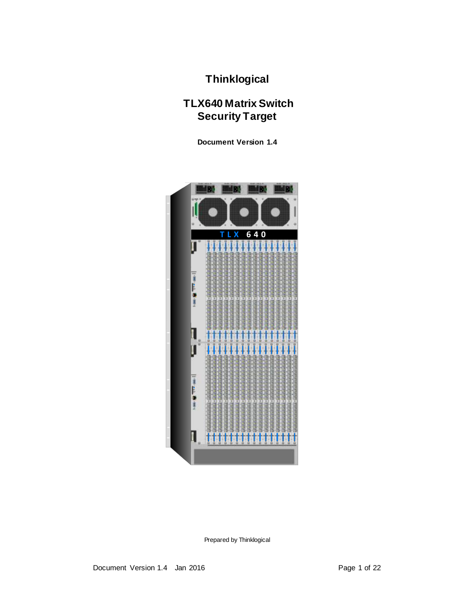**Thinklogical**

# **TLX640 Matrix Switch Security Target**

**Document Version 1.4**



Prepared by Thinklogical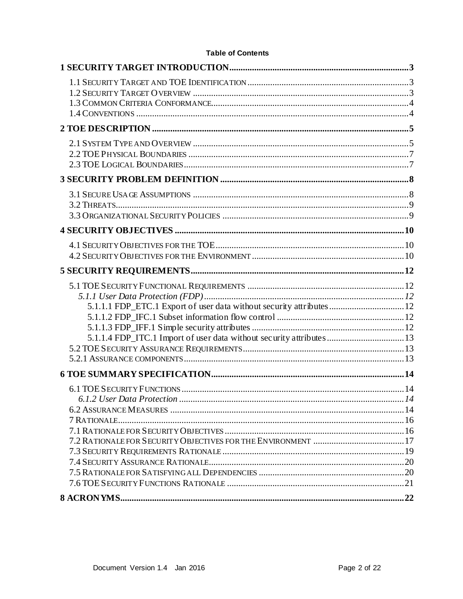| 5.1.1.1 FDP_ETC.1 Export of user data without security attributes  12<br>5.1.1.4 FDP_ITC.1 Import of user data without security attributes  13 |  |
|------------------------------------------------------------------------------------------------------------------------------------------------|--|
|                                                                                                                                                |  |
|                                                                                                                                                |  |
|                                                                                                                                                |  |

## **Table of Contents**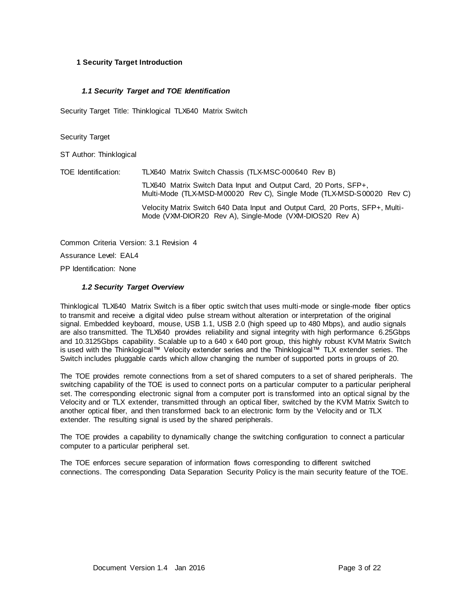#### **1 Security Target Introduction**

#### *1.1 Security Target and TOE Identification*

Security Target Title: Thinklogical TLX640 Matrix Switch

#### Security Target

ST Author: Thinklogical

TOE Identification: TLX640 Matrix Switch Chassis (TLX-MSC-000640 Rev B) TLX640 Matrix Switch Data Input and Output Card, 20 Ports, SFP+, Multi-Mode (TLX-MSD-M00020 Rev C), Single Mode (TLX-MSD-S00020 Rev C) Velocity Matrix Switch 640 Data Input and Output Card, 20 Ports, SFP+, Multi-Mode (VXM-DIOR20 Rev A), Single-Mode (VXM-DIOS20 Rev A)

Common Criteria Version: 3.1 Revision 4 Assurance Level: EAL4 PP Identification: None

#### *1.2 Security Target Overview*

Thinklogical TLX640 Matrix Switch is a fiber optic switch that uses multi-mode or single-mode fiber optics to transmit and receive a digital video pulse stream without alteration or interpretation of the original signal. Embedded keyboard, mouse, USB 1.1, USB 2.0 (high speed up to 480 Mbps), and audio signals are also transmitted. The TLX640 provides reliability and signal integrity with high performance 6.25Gbps and 10.3125Gbps capability. Scalable up to a 640 x 640 port group, this highly robust KVM Matrix Switch is used with the Thinklogical™ Velocity extender series and the Thinklogical™ TLX extender series. The Switch includes pluggable cards which allow changing the number of supported ports in groups of 20.

The TOE provides remote connections from a set of shared computers to a set of shared peripherals. The switching capability of the TOE is used to connect ports on a particular computer to a particular peripheral set. The corresponding electronic signal from a computer port is transformed into an optical signal by the Velocity and or TLX extender, transmitted through an optical fiber, switched by the KVM Matrix Switch to another optical fiber, and then transformed back to an electronic form by the Velocity and or TLX extender. The resulting signal is used by the shared peripherals.

The TOE provides a capability to dynamically change the switching configuration to connect a particular computer to a particular peripheral set.

The TOE enforces secure separation of information flows corresponding to different switched connections. The corresponding Data Separation Security Policy is the main security feature of the TOE.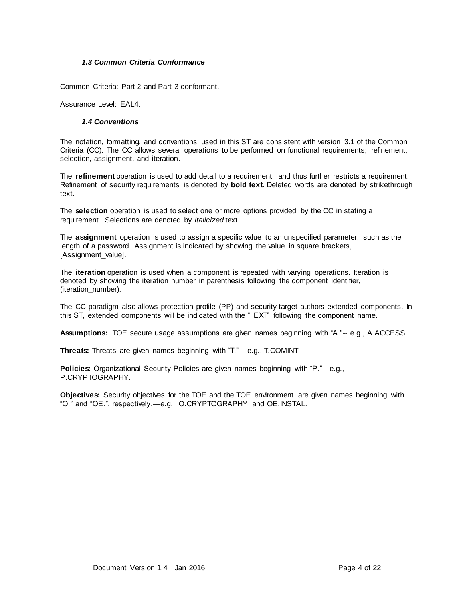#### *1.3 Common Criteria Conformance*

Common Criteria: Part 2 and Part 3 conformant.

Assurance Level: EAL4.

#### *1.4 Conventions*

The notation, formatting, and conventions used in this ST are consistent with version 3.1 of the Common Criteria (CC). The CC allows several operations to be performed on functional requirements; refinement, selection, assignment, and iteration.

The **refinement** operation is used to add detail to a requirement, and thus further restricts a requirement. Refinement of security requirements is denoted by **bold text**. Deleted words are denoted by strikethrough text.

The **selection** operation is used to select one or more options provided by the CC in stating a requirement. Selections are denoted by *italicized* text.

The **assignment** operation is used to assign a specific value to an unspecified parameter, such as the length of a password. Assignment is indicated by showing the value in square brackets, [Assignment\_value].

The **iteration** operation is used when a component is repeated with varying operations. Iteration is denoted by showing the iteration number in parenthesis following the component identifier, (iteration\_number).

The CC paradigm also allows protection profile (PP) and security target authors extended components. In this ST, extended components will be indicated with the "\_EXT" following the component name.

**Assumptions:** TOE secure usage assumptions are given names beginning with "A."-- e.g., A.ACCESS.

**Threats:** Threats are given names beginning with "T."-- e.g., T.COMINT.

**Policies:** Organizational Security Policies are given names beginning with "P."-- e.g., P.CRYPTOGRAPHY.

**Objectives:** Security objectives for the TOE and the TOE environment are given names beginning with "O." and "OE.", respectively,—e.g., O.CRYPTOGRAPHY and OE.INSTAL.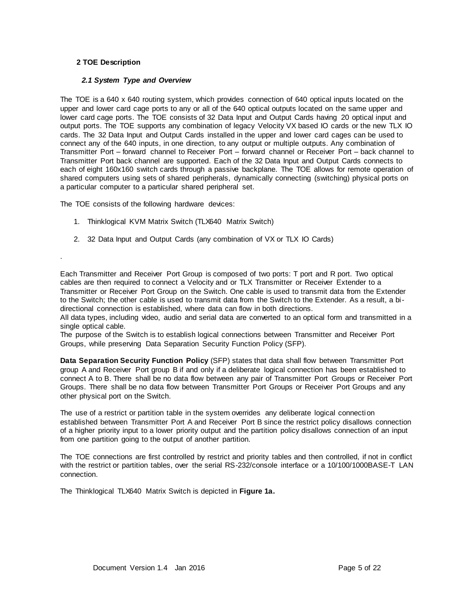#### **2 TOE Description**

.

#### *2.1 System Type and Overview*

The TOE is a 640 x 640 routing system, which provides connection of 640 optical inputs located on the upper and lower card cage ports to any or all of the 640 optical outputs located on the same upper and lower card cage ports. The TOE consists of 32 Data Input and Output Cards having 20 optical input and output ports. The TOE supports any combination of legacy Velocity VX based IO cards or the new TLX IO cards. The 32 Data Input and Output Cards installed in the upper and lower card cages can be used to connect any of the 640 inputs, in one direction, to any output or multiple outputs. Any combination of Transmitter Port – forward channel to Receiver Port – forward channel or Receiver Port – back channel to Transmitter Port back channel are supported. Each of the 32 Data Input and Output Cards connects to each of eight 160x160 switch cards through a passive backplane. The TOE allows for remote operation of shared computers using sets of shared peripherals, dynamically connecting (switching) physical ports on a particular computer to a particular shared peripheral set.

The TOE consists of the following hardware devices:

- 1. Thinklogical KVM Matrix Switch (TLX640 Matrix Switch)
- 2. 32 Data Input and Output Cards (any combination of VX or TLX IO Cards)

Each Transmitter and Receiver Port Group is composed of two ports: T port and R port. Two optical cables are then required to connect a Velocity and or TLX Transmitter or Receiver Extender to a Transmitter or Receiver Port Group on the Switch. One cable is used to transmit data from the Extender to the Switch; the other cable is used to transmit data from the Switch to the Extender. As a result, a bidirectional connection is established, where data can flow in both directions.

All data types, including video, audio and serial data are converted to an optical form and transmitted in a single optical cable.

The purpose of the Switch is to establish logical connections between Transmitter and Receiver Port Groups, while preserving Data Separation Security Function Policy (SFP).

**Data Separation Security Function Policy** (SFP) states that data shall flow between Transmitter Port group A and Receiver Port group B if and only if a deliberate logical connection has been established to connect A to B. There shall be no data flow between any pair of Transmitter Port Groups or Receiver Port Groups. There shall be no data flow between Transmitter Port Groups or Receiver Port Groups and any other physical port on the Switch.

The use of a restrict or partition table in the system overrides any deliberate logical connection established between Transmitter Port A and Receiver Port B since the restrict policy disallows connection of a higher priority input to a lower priority output and the partition policy disallows connection of an input from one partition going to the output of another partition.

The TOE connections are first controlled by restrict and priority tables and then controlled, if not in conflict with the restrict or partition tables, over the serial RS-232/console interface or a 10/100/1000BASE-T LAN connection.

The Thinklogical TLX640 Matrix Switch is depicted in **Figure 1a.**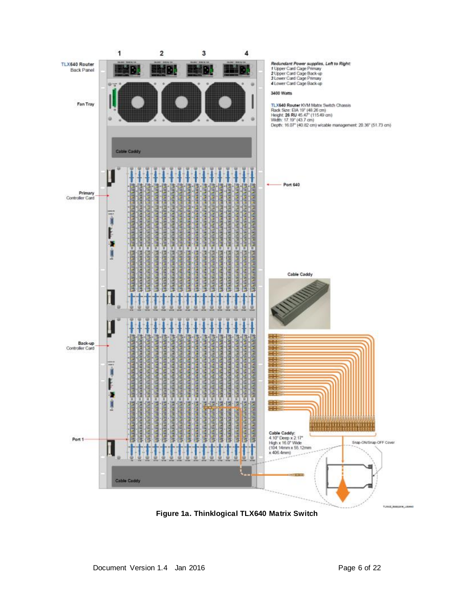

**Figure 1a. Thinklogical TLX640 Matrix Switch**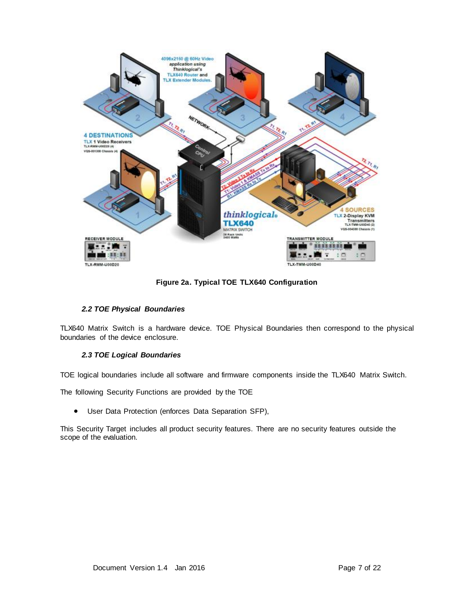

**Figure 2a. Typical TOE TLX640 Configuration**

## *2.2 TOE Physical Boundaries*

TLX640 Matrix Switch is a hardware device. TOE Physical Boundaries then correspond to the physical boundaries of the device enclosure.

## *2.3 TOE Logical Boundaries*

TOE logical boundaries include all software and firmware components inside the TLX640 Matrix Switch.

The following Security Functions are provided by the TOE

User Data Protection (enforces Data Separation SFP),

This Security Target includes all product security features. There are no security features outside the scope of the evaluation.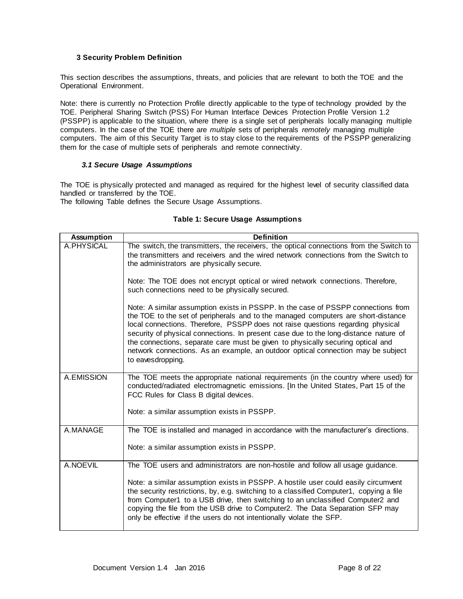#### **3 Security Problem Definition**

This section describes the assumptions, threats, and policies that are relevant to both the TOE and the Operational Environment.

Note: there is currently no Protection Profile directly applicable to the type of technology provided by the TOE. Peripheral Sharing Switch (PSS) For Human Interface Devices Protection Profile Version 1.2 (PSSPP) is applicable to the situation, where there is a single set of peripherals locally managing multiple computers. In the case of the TOE there are *multiple* sets of peripherals *remotely* managing multiple computers. The aim of this Security Target is to stay close to the requirements of the PSSPP generalizing them for the case of multiple sets of peripherals and remote connectivity.

#### *3.1 Secure Usage Assumptions*

The TOE is physically protected and managed as required for the highest level of security classified data handled or transferred by the TOE.

The following Table defines the Secure Usage Assumptions.

## **Table 1: Secure Usage Assumptions**

| <b>Assumption</b> | <b>Definition</b>                                                                                                                                                                                                                                                                                                                                                                                                                                                                                                                             |  |  |  |
|-------------------|-----------------------------------------------------------------------------------------------------------------------------------------------------------------------------------------------------------------------------------------------------------------------------------------------------------------------------------------------------------------------------------------------------------------------------------------------------------------------------------------------------------------------------------------------|--|--|--|
| A.PHYSICAL        | The switch, the transmitters, the receivers, the optical connections from the Switch to<br>the transmitters and receivers and the wired network connections from the Switch to<br>the administrators are physically secure.                                                                                                                                                                                                                                                                                                                   |  |  |  |
|                   | Note: The TOE does not encrypt optical or wired network connections. Therefore,<br>such connections need to be physically secured.                                                                                                                                                                                                                                                                                                                                                                                                            |  |  |  |
|                   | Note: A similar assumption exists in PSSPP. In the case of PSSPP connections from<br>the TOE to the set of peripherals and to the managed computers are short-distance<br>local connections. Therefore, PSSPP does not raise questions regarding physical<br>security of physical connections. In present case due to the long-distance nature of<br>the connections, separate care must be given to physically securing optical and<br>network connections. As an example, an outdoor optical connection may be subject<br>to eavesdropping. |  |  |  |
| A.EMISSION        | The TOE meets the appropriate national requirements (in the country where used) for<br>conducted/radiated electromagnetic emissions. [In the United States, Part 15 of the<br>FCC Rules for Class B digital devices.                                                                                                                                                                                                                                                                                                                          |  |  |  |
|                   | Note: a similar assumption exists in PSSPP.                                                                                                                                                                                                                                                                                                                                                                                                                                                                                                   |  |  |  |
| A.MANAGE          | The TOE is installed and managed in accordance with the manufacturer's directions.                                                                                                                                                                                                                                                                                                                                                                                                                                                            |  |  |  |
|                   | Note: a similar assumption exists in PSSPP.                                                                                                                                                                                                                                                                                                                                                                                                                                                                                                   |  |  |  |
| A.NOEVIL          | The TOE users and administrators are non-hostile and follow all usage guidance.                                                                                                                                                                                                                                                                                                                                                                                                                                                               |  |  |  |
|                   | Note: a similar assumption exists in PSSPP. A hostile user could easily circumvent<br>the security restrictions, by, e.g. switching to a classified Computer1, copying a file<br>from Computer1 to a USB drive, then switching to an unclassified Computer2 and<br>copying the file from the USB drive to Computer2. The Data Separation SFP may<br>only be effective if the users do not intentionally violate the SFP.                                                                                                                      |  |  |  |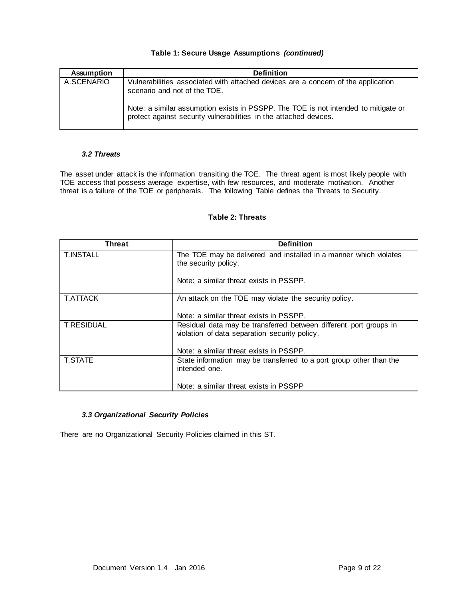#### **Table 1: Secure Usage Assumptions** *(continued)*

| <b>Assumption</b> | <b>Definition</b>                                                                                                                                                                                       |
|-------------------|---------------------------------------------------------------------------------------------------------------------------------------------------------------------------------------------------------|
| A.SCENARIO        | Vulnerabilities associated with attached devices are a concern of the application<br>scenario and not of the TOE.<br>Note: a similar assumption exists in PSSPP. The TOE is not intended to mitigate or |
|                   | protect against security vulnerabilities in the attached devices.                                                                                                                                       |

#### *3.2 Threats*

The asset under attack is the information transiting the TOE. The threat agent is most likely people with TOE access that possess average expertise, with few resources, and moderate motivation. Another threat is a failure of the TOE or peripherals. The following Table defines the Threats to Security.

| <b>Threat</b>     | <b>Definition</b>                                                                                                  |
|-------------------|--------------------------------------------------------------------------------------------------------------------|
| <b>T.INSTALL</b>  | The TOE may be delivered and installed in a manner which violates<br>the security policy.                          |
|                   | Note: a similar threat exists in PSSPP.                                                                            |
| <b>T.ATTACK</b>   | An attack on the TOE may violate the security policy.                                                              |
|                   | Note: a similar threat exists in PSSPP.                                                                            |
| <b>T.RESIDUAL</b> | Residual data may be transferred between different port groups in<br>violation of data separation security policy. |
|                   | Note: a similar threat exists in PSSPP.                                                                            |
| <b>T.STATE</b>    | State information may be transferred to a port group other than the<br>intended one.                               |
|                   | Note: a similar threat exists in PSSPP                                                                             |

## **Table 2: Threats**

#### *3.3 Organizational Security Policies*

There are no Organizational Security Policies claimed in this ST.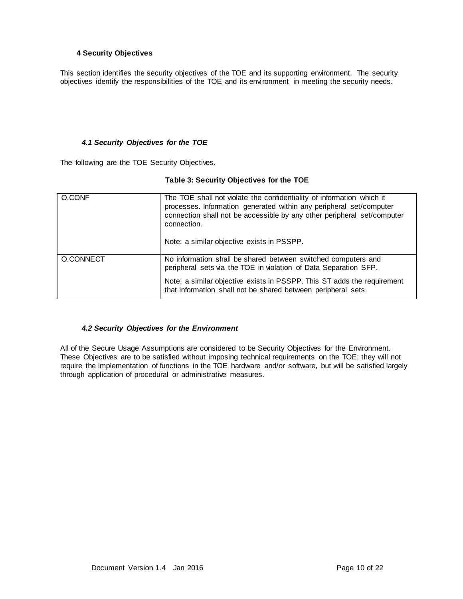#### **4 Security Objectives**

This section identifies the security objectives of the TOE and its supporting environment. The security objectives identify the responsibilities of the TOE and its environment in meeting the security needs.

#### *4.1 Security Objectives for the TOE*

The following are the TOE Security Objectives.

#### **Table 3: Security Objectives for the TOE**

| O.CONF    | The TOE shall not violate the confidentiality of information which it<br>processes. Information generated within any peripheral set/computer<br>connection shall not be accessible by any other peripheral set/computer<br>connection.<br>Note: a similar objective exists in PSSPP. |  |
|-----------|--------------------------------------------------------------------------------------------------------------------------------------------------------------------------------------------------------------------------------------------------------------------------------------|--|
| O.CONNECT | No information shall be shared between switched computers and<br>peripheral sets via the TOE in violation of Data Separation SFP.                                                                                                                                                    |  |
|           | Note: a similar objective exists in PSSPP. This ST adds the requirement<br>that information shall not be shared between peripheral sets.                                                                                                                                             |  |

## *4.2 Security Objectives for the Environment*

All of the Secure Usage Assumptions are considered to be Security Objectives for the Environment. These Objectives are to be satisfied without imposing technical requirements on the TOE; they will not require the implementation of functions in the TOE hardware and/or software, but will be satisfied largely through application of procedural or administrative measures.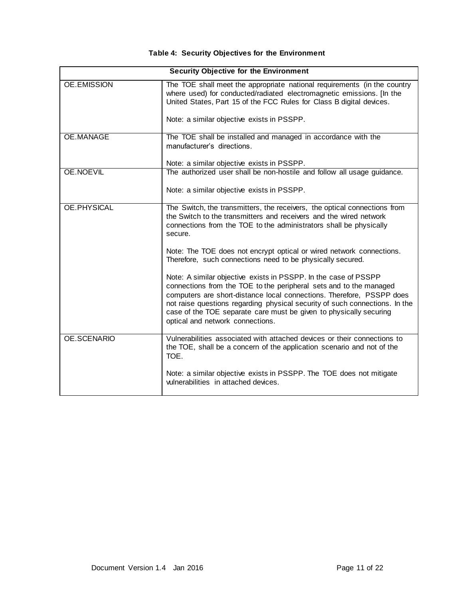## **Table 4: Security Objectives for the Environment**

| <b>Security Objective for the Environment</b> |                                                                                                                                                                                                                                                                                                                                                                                                         |  |  |  |
|-----------------------------------------------|---------------------------------------------------------------------------------------------------------------------------------------------------------------------------------------------------------------------------------------------------------------------------------------------------------------------------------------------------------------------------------------------------------|--|--|--|
| <b>OE.EMISSION</b>                            | The TOE shall meet the appropriate national requirements (in the country<br>where used) for conducted/radiated electromagnetic emissions. [In the<br>United States, Part 15 of the FCC Rules for Class B digital devices.                                                                                                                                                                               |  |  |  |
|                                               | Note: a similar objective exists in PSSPP.                                                                                                                                                                                                                                                                                                                                                              |  |  |  |
| <b>OE.MANAGE</b>                              | The TOE shall be installed and managed in accordance with the<br>manufacturer's directions.                                                                                                                                                                                                                                                                                                             |  |  |  |
|                                               | Note: a similar objective exists in PSSPP.                                                                                                                                                                                                                                                                                                                                                              |  |  |  |
| OE.NOEVIL                                     | The authorized user shall be non-hostile and follow all usage guidance.                                                                                                                                                                                                                                                                                                                                 |  |  |  |
|                                               | Note: a similar objective exists in PSSPP.                                                                                                                                                                                                                                                                                                                                                              |  |  |  |
| OE.PHYSICAL                                   | The Switch, the transmitters, the receivers, the optical connections from<br>the Switch to the transmitters and receivers and the wired network<br>connections from the TOE to the administrators shall be physically<br>secure.                                                                                                                                                                        |  |  |  |
|                                               | Note: The TOE does not encrypt optical or wired network connections.<br>Therefore, such connections need to be physically secured.                                                                                                                                                                                                                                                                      |  |  |  |
|                                               | Note: A similar objective exists in PSSPP. In the case of PSSPP<br>connections from the TOE to the peripheral sets and to the managed<br>computers are short-distance local connections. Therefore, PSSPP does<br>not raise questions regarding physical security of such connections. In the<br>case of the TOE separate care must be given to physically securing<br>optical and network connections. |  |  |  |
| OE.SCENARIO                                   | Vulnerabilities associated with attached devices or their connections to<br>the TOE, shall be a concern of the application scenario and not of the<br>TOE.                                                                                                                                                                                                                                              |  |  |  |
|                                               | Note: a similar objective exists in PSSPP. The TOE does not mitigate<br>vulnerabilities in attached devices.                                                                                                                                                                                                                                                                                            |  |  |  |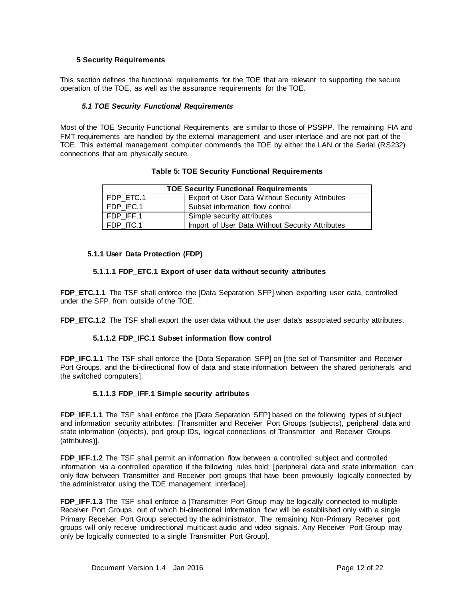#### **5 Security Requirements**

This section defines the functional requirements for the TOE that are relevant to supporting the secure operation of the TOE, as well as the assurance requirements for the TOE.

#### *5.1 TOE Security Functional Requirements*

Most of the TOE Security Functional Requirements are similar to those of PSSPP. The remaining FIA and FMT requirements are handled by the external management and user interface and are not part of the TOE. This external management computer commands the TOE by either the LAN or the Serial (RS232) connections that are physically secure.

#### **Table 5: TOE Security Functional Requirements**

| <b>TOE Security Functional Requirements</b> |                                                 |  |  |
|---------------------------------------------|-------------------------------------------------|--|--|
| FDP ETC.1                                   | Export of User Data Without Security Attributes |  |  |
| FDP IFC.1                                   | Subset information flow control                 |  |  |
| FDP IFF.1                                   | Simple security attributes                      |  |  |
| FDP ITC.1                                   | Import of User Data Without Security Attributes |  |  |

#### **5.1.1 User Data Protection (FDP)**

#### **5.1.1.1 FDP\_ETC.1 Export of user data without security attributes**

**FDP\_ETC.1.1** The TSF shall enforce the [Data Separation SFP] when exporting user data, controlled under the SFP, from outside of the TOE.

**FDP\_ETC.1.2** The TSF shall export the user data without the user data's associated security attributes.

#### **5.1.1.2 FDP\_IFC.1 Subset information flow control**

**FDP\_IFC.1.1** The TSF shall enforce the [Data Separation SFP] on [the set of Transmitter and Receiver Port Groups, and the bi-directional flow of data and state information between the shared peripherals and the switched computers].

#### **5.1.1.3 FDP\_IFF.1 Simple security attributes**

**FDP\_IFF.1.1** The TSF shall enforce the [Data Separation SFP] based on the following types of subject and information security attributes: [Transmitter and Receiver Port Groups (subjects), peripheral data and state information (objects), port group IDs, logical connections of Transmitter and Receiver Groups (attributes)].

**FDP\_IFF.1.2** The TSF shall permit an information flow between a controlled subject and controlled information via a controlled operation if the following rules hold: [peripheral data and state information can only flow between Transmitter and Receiver port groups that have been previously logically connected by the administrator using the TOE management interface].

**FDP\_IFF.1.3** The TSF shall enforce a [Transmitter Port Group may be logically connected to multiple Receiver Port Groups, out of which bi-directional information flow will be established only with a single Primary Receiver Port Group selected by the administrator. The remaining Non-Primary Receiver port groups will only receive unidirectional multicast audio and video signals. Any Receiver Port Group may only be logically connected to a single Transmitter Port Group].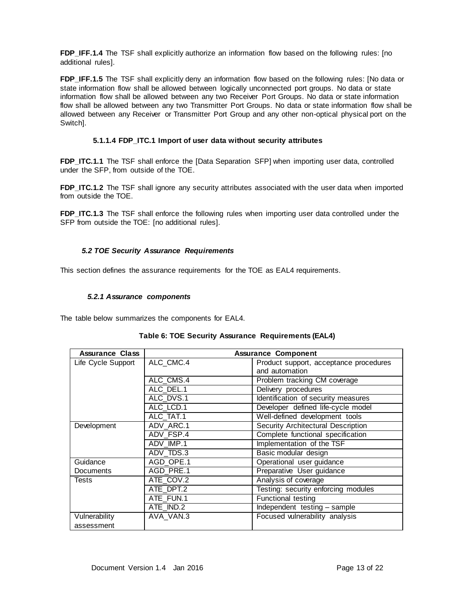**FDP\_IFF.1.4** The TSF shall explicitly authorize an information flow based on the following rules: [no additional rules].

**FDP\_IFF.1.5** The TSF shall explicitly deny an information flow based on the following rules: [No data or state information flow shall be allowed between logically unconnected port groups. No data or state information flow shall be allowed between any two Receiver Port Groups. No data or state information flow shall be allowed between any two Transmitter Port Groups. No data or state information flow shall be allowed between any Receiver or Transmitter Port Group and any other non-optical physical port on the Switch].

#### **5.1.1.4 FDP\_ITC.1 Import of user data without security attributes**

**FDP\_ITC.1.1** The TSF shall enforce the [Data Separation SFP] when importing user data, controlled under the SFP, from outside of the TOE.

**FDP\_ITC.1.2** The TSF shall ignore any security attributes associated with the user data when imported from outside the TOE.

**FDP\_ITC.1.3** The TSF shall enforce the following rules when importing user data controlled under the SFP from outside the TOE: [no additional rules].

#### *5.2 TOE Security Assurance Requirements*

This section defines the assurance requirements for the TOE as EAL4 requirements.

#### *5.2.1 Assurance components*

The table below summarizes the components for EAL4.

| <b>Assurance Class</b> | <b>Assurance Component</b> |                                        |  |
|------------------------|----------------------------|----------------------------------------|--|
| Life Cycle Support     | ALC CMC.4                  | Product support, acceptance procedures |  |
|                        |                            | and automation                         |  |
|                        | ALC CMS.4                  | Problem tracking CM coverage           |  |
|                        | ALC DEL.1                  | Delivery procedures                    |  |
|                        | ALC DVS.1                  | Identification of security measures    |  |
|                        | ALC LCD.1                  | Developer defined life-cycle model     |  |
|                        | ALC TAT.1                  | Well-defined development tools         |  |
| Development            | ADV_ARC.1                  | Security Architectural Description     |  |
|                        | ADV FSP.4                  | Complete functional specification      |  |
|                        | ADV IMP.1                  | Implementation of the TSF              |  |
|                        | ADV TDS.3                  | Basic modular design                   |  |
| Guidance               | AGD OPE.1                  | Operational user guidance              |  |
| Documents              | AGD PRE.1                  | Preparative User guidance              |  |
| Tests                  | ATE COV.2                  | Analysis of coverage                   |  |
|                        | ATE DPT.2                  | Testing: security enforcing modules    |  |
|                        | ATE FUN.1                  | Functional testing                     |  |
|                        | ATE IND.2                  | Independent testing - sample           |  |
| Vulnerability          | AVA VAN.3                  | Focused vulnerability analysis         |  |
| assessment             |                            |                                        |  |

#### **Table 6: TOE Security Assurance Requirements (EAL4)**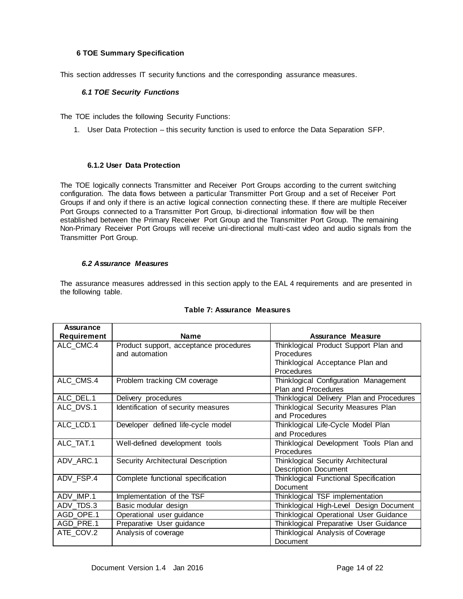#### **6 TOE Summary Specification**

This section addresses IT security functions and the corresponding assurance measures.

#### *6.1 TOE Security Functions*

The TOE includes the following Security Functions:

1. User Data Protection – this security function is used to enforce the Data Separation SFP.

#### **6.1.2 User Data Protection**

The TOE logically connects Transmitter and Receiver Port Groups according to the current switching configuration. The data flows between a particular Transmitter Port Group and a set of Receiver Port Groups if and only if there is an active logical connection connecting these. If there are multiple Receiver Port Groups connected to a Transmitter Port Group, bi-directional information flow will be then established between the Primary Receiver Port Group and the Transmitter Port Group. The remaining Non-Primary Receiver Port Groups will receive uni-directional multi-cast video and audio signals from the Transmitter Port Group.

#### *6.2 Assurance Measures*

The assurance measures addressed in this section apply to the EAL 4 requirements and are presented in the following table.

| <b>Assurance</b> |                                        |                                           |
|------------------|----------------------------------------|-------------------------------------------|
| Requirement      | <b>Name</b>                            | Assurance Measure                         |
| ALC CMC.4        | Product support, acceptance procedures | Thinklogical Product Support Plan and     |
|                  | and automation                         | <b>Procedures</b>                         |
|                  |                                        | Thinklogical Acceptance Plan and          |
|                  |                                        | Procedures                                |
| ALC CMS.4        | Problem tracking CM coverage           | Thinklogical Configuration Management     |
|                  |                                        | Plan and Procedures                       |
| ALC DEL.1        | Delivery procedures                    | Thinklogical Delivery Plan and Procedures |
| ALC_DVS.1        | Identification of security measures    | Thinklogical Security Measures Plan       |
|                  |                                        | and Procedures                            |
| ALC_LCD.1        | Developer defined life-cycle model     | Thinklogical Life-Cycle Model Plan        |
|                  |                                        | and Procedures                            |
| ALC TAT.1        | Well-defined development tools         | Thinklogical Development Tools Plan and   |
|                  |                                        | Procedures                                |
| ADV ARC.1        | Security Architectural Description     | Thinklogical Security Architectural       |
|                  |                                        | <b>Description Document</b>               |
| ADV FSP.4        | Complete functional specification      | Thinklogical Functional Specification     |
|                  |                                        | <b>Document</b>                           |
| ADV_IMP.1        | Implementation of the TSF              | Thinklogical TSF implementation           |
| ADV TDS.3        | Basic modular design                   | Thinklogical High-Level Design Document   |
| AGD_OPE.1        | Operational user guidance              | Thinklogical Operational User Guidance    |
| AGD PRE.1        | Preparative User guidance              | Thinklogical Preparative User Guidance    |
| ATE COV.2        | Analysis of coverage                   | Thinklogical Analysis of Coverage         |
|                  |                                        | Document                                  |

#### **Table 7: Assurance Measures**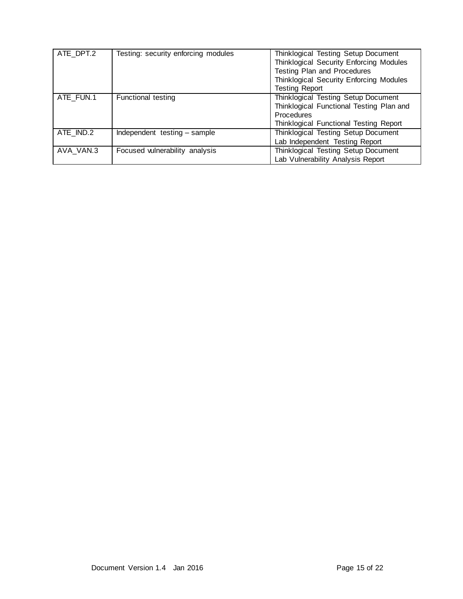| ATE DPT.2 | Testing: security enforcing modules | Thinklogical Testing Setup Document<br>Thinklogical Security Enforcing Modules<br>Testing Plan and Procedures<br>Thinklogical Security Enforcing Modules<br><b>Testing Report</b> |
|-----------|-------------------------------------|-----------------------------------------------------------------------------------------------------------------------------------------------------------------------------------|
| ATE FUN.1 | <b>Functional testing</b>           | Thinklogical Testing Setup Document<br>Thinklogical Functional Testing Plan and<br>Procedures<br>Thinklogical Functional Testing Report                                           |
| ATE IND.2 | Independent testing - sample        | Thinklogical Testing Setup Document<br>Lab Independent Testing Report                                                                                                             |
| AVA VAN.3 | Focused vulnerability analysis      | Thinklogical Testing Setup Document<br>Lab Vulnerability Analysis Report                                                                                                          |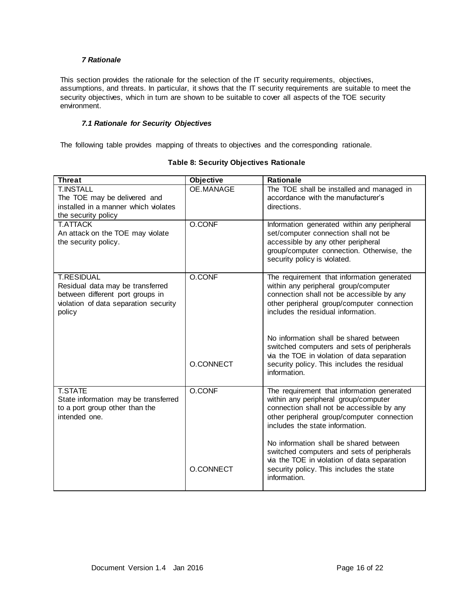#### *7 Rationale*

This section provides the rationale for the selection of the IT security requirements, objectives, assumptions, and threats. In particular, it shows that the IT security requirements are suitable to meet the security objectives, which in turn are shown to be suitable to cover all aspects of the TOE security environment.

## *7.1 Rationale for Security Objectives*

The following table provides mapping of threats to objectives and the corresponding rationale.

| <b>Threat</b>                         | Objective | <b>Rationale</b>                                                                     |
|---------------------------------------|-----------|--------------------------------------------------------------------------------------|
| <b>T.INSTALL</b>                      | OE.MANAGE | The TOE shall be installed and managed in                                            |
| The TOE may be delivered and          |           | accordance with the manufacturer's                                                   |
| installed in a manner which violates  |           | directions.                                                                          |
| the security policy                   |           |                                                                                      |
| <b>T.ATTACK</b>                       | O.CONF    | Information generated within any peripheral                                          |
| An attack on the TOE may violate      |           | set/computer connection shall not be                                                 |
| the security policy.                  |           | accessible by any other peripheral                                                   |
|                                       |           | group/computer connection. Otherwise, the<br>security policy is violated.            |
|                                       |           |                                                                                      |
| <b>T.RESIDUAL</b>                     | O.CONF    | The requirement that information generated                                           |
| Residual data may be transferred      |           | within any peripheral group/computer                                                 |
| between different port groups in      |           | connection shall not be accessible by any                                            |
| violation of data separation security |           | other peripheral group/computer connection                                           |
| policy                                |           | includes the residual information.                                                   |
|                                       |           |                                                                                      |
|                                       |           | No information shall be shared between                                               |
|                                       |           | switched computers and sets of peripherals                                           |
|                                       |           | via the TOE in violation of data separation                                          |
|                                       | O.CONNECT | security policy. This includes the residual                                          |
|                                       |           | information.                                                                         |
| <b>T.STATE</b>                        | O.CONF    | The requirement that information generated                                           |
| State information may be transferred  |           | within any peripheral group/computer                                                 |
| to a port group other than the        |           | connection shall not be accessible by any                                            |
| intended one.                         |           | other peripheral group/computer connection                                           |
|                                       |           | includes the state information.                                                      |
|                                       |           |                                                                                      |
|                                       |           | No information shall be shared between<br>switched computers and sets of peripherals |
|                                       |           | via the TOE in violation of data separation                                          |
|                                       | O.CONNECT | security policy. This includes the state                                             |
|                                       |           | information.                                                                         |
|                                       |           |                                                                                      |

## **Table 8: Security Objectives Rationale**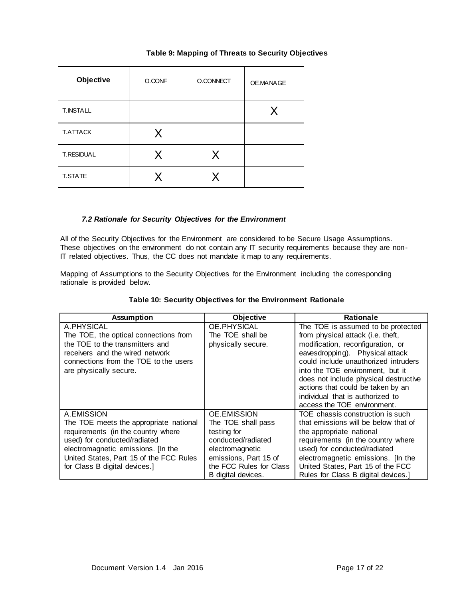#### **Table 9: Mapping of Threats to Security Objectives**

| Objective         | O.CONF  | O.CONNECT | OE.MANAGE |
|-------------------|---------|-----------|-----------|
| <b>T.INSTALL</b>  |         |           | X         |
| <b>T.ATTACK</b>   | $\sf X$ |           |           |
| <b>T.RESIDUAL</b> | X       | X         |           |
| T.STATE           |         | Χ         |           |

#### *7.2 Rationale for Security Objectives for the Environment*

All of the Security Objectives for the Environment are considered to be Secure Usage Assumptions. These objectives on the environment do not contain any IT security requirements because they are non-IT related objectives. Thus, the CC does not mandate it map to any requirements.

Mapping of Assumptions to the Security Objectives for the Environment including the corresponding rationale is provided below.

| <b>Assumption</b>                       | <b>Objective</b>        | <b>Rationale</b>                      |
|-----------------------------------------|-------------------------|---------------------------------------|
| A.PHYSICAL                              | OE.PHYSICAL             | The TOE is assumed to be protected    |
| The TOE, the optical connections from   | The TOE shall be        | from physical attack (i.e. theft,     |
| the TOE to the transmitters and         | physically secure.      | modification, reconfiguration, or     |
| receivers and the wired network         |                         | eavesdropping). Physical attack       |
| connections from the TOE to the users   |                         | could include unauthorized intruders  |
| are physically secure.                  |                         | into the TOE environment, but it      |
|                                         |                         | does not include physical destructive |
|                                         |                         | actions that could be taken by an     |
|                                         |                         | individual that is authorized to      |
|                                         |                         | access the TOE environment.           |
| A.EMISSION                              | OE.EMISSION             | TOE chassis construction is such      |
| The TOE meets the appropriate national  | The TOE shall pass      | that emissions will be below that of  |
| requirements (in the country where      | testing for             | the appropriate national              |
| used) for conducted/radiated            | conducted/radiated      | requirements (in the country where    |
| electromagnetic emissions. [In the      | electromagnetic         | used) for conducted/radiated          |
| United States, Part 15 of the FCC Rules | emissions, Part 15 of   | electromagnetic emissions. [In the    |
| for Class B digital devices.]           | the FCC Rules for Class | United States, Part 15 of the FCC     |
|                                         | B digital devices.      | Rules for Class B digital devices.    |

#### **Table 10: Security Objectives for the Environment Rationale**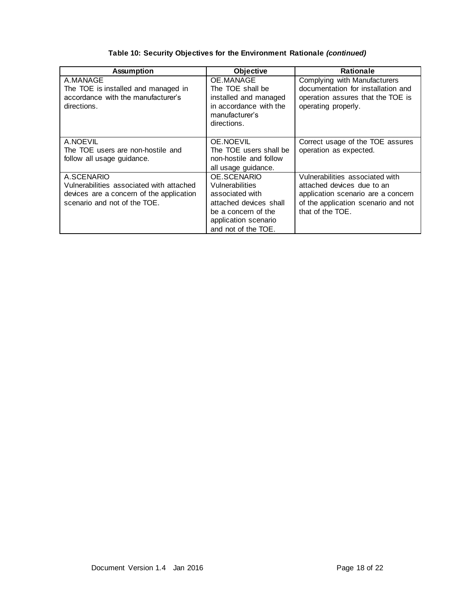| <b>Assumption</b>                                                                                                                  | <b>Objective</b>                                                                                                                                  | <b>Rationale</b>                                                                                                                                               |
|------------------------------------------------------------------------------------------------------------------------------------|---------------------------------------------------------------------------------------------------------------------------------------------------|----------------------------------------------------------------------------------------------------------------------------------------------------------------|
| A.MANAGE<br>The TOE is installed and managed in<br>accordance with the manufacturer's<br>directions.                               | OE.MANAGE<br>The TOE shall be<br>installed and managed<br>in accordance with the<br>manufacturer's<br>directions.                                 | Complying with Manufacturers<br>documentation for installation and<br>operation assures that the TOE is<br>operating properly.                                 |
| A.NOEVIL<br>The TOE users are non-hostile and<br>follow all usage guidance.                                                        | OE.NOEVIL<br>The TOE users shall be<br>non-hostile and follow<br>all usage guidance.                                                              | Correct usage of the TOE assures<br>operation as expected.                                                                                                     |
| A.SCENARIO<br>Vulnerabilities associated with attached<br>devices are a concern of the application<br>scenario and not of the TOE. | OE.SCENARIO<br>Vulnerabilities<br>associated with<br>attached devices shall<br>be a concern of the<br>application scenario<br>and not of the TOE. | Vulnerabilities associated with<br>attached devices due to an<br>application scenario are a concern<br>of the application scenario and not<br>that of the TOE. |

## **Table 10: Security Objectives for the Environment Rationale** *(continued)*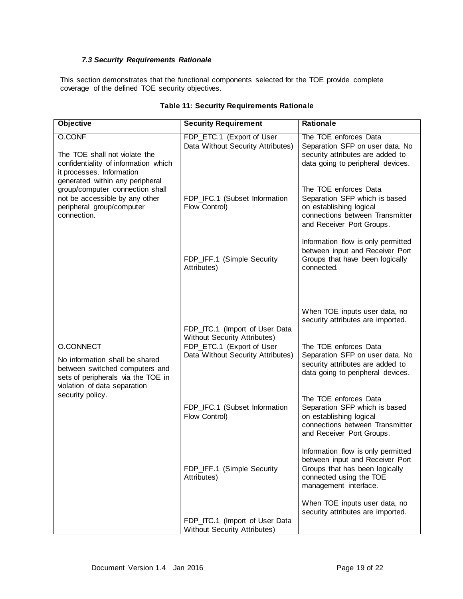#### *7.3 Security Requirements Rationale*

This section demonstrates that the functional components selected for the TOE provide complete coverage of the defined TOE security objectives.

| <b>Objective</b>                                                                                                                                    | <b>Security Requirement</b>                                           | Rationale                                                                                                                                                   |
|-----------------------------------------------------------------------------------------------------------------------------------------------------|-----------------------------------------------------------------------|-------------------------------------------------------------------------------------------------------------------------------------------------------------|
| <b>O.CONF</b><br>The TOE shall not violate the<br>confidentiality of information which<br>it processes. Information                                 | FDP_ETC.1 (Export of User<br>Data Without Security Attributes)        | The TOE enforces Data<br>Separation SFP on user data. No<br>security attributes are added to<br>data going to peripheral devices.                           |
| generated within any peripheral<br>group/computer connection shall<br>not be accessible by any other<br>peripheral group/computer<br>connection.    | FDP_IFC.1 (Subset Information<br>Flow Control)                        | The TOE enforces Data<br>Separation SFP which is based<br>on establishing logical<br>connections between Transmitter<br>and Receiver Port Groups.           |
|                                                                                                                                                     | FDP_IFF.1 (Simple Security<br>Attributes)                             | Information flow is only permitted<br>between input and Receiver Port<br>Groups that have been logically<br>connected.                                      |
|                                                                                                                                                     | FDP_ITC.1 (Import of User Data<br><b>Without Security Attributes)</b> | When TOE inputs user data, no<br>security attributes are imported.                                                                                          |
| O.CONNECT<br>No information shall be shared<br>between switched computers and<br>sets of peripherals via the TOE in<br>violation of data separation | FDP_ETC.1 (Export of User<br>Data Without Security Attributes)        | The TOE enforces Data<br>Separation SFP on user data. No<br>security attributes are added to<br>data going to peripheral devices.                           |
| security policy.                                                                                                                                    | FDP_IFC.1 (Subset Information<br>Flow Control)                        | The TOE enforces Data<br>Separation SFP which is based<br>on establishing logical<br>connections between Transmitter<br>and Receiver Port Groups.           |
|                                                                                                                                                     | FDP_IFF.1 (Simple Security<br>Attributes)                             | Information flow is only permitted<br>between input and Receiver Port<br>Groups that has been logically<br>connected using the TOE<br>management interface. |
|                                                                                                                                                     | FDP_ITC.1 (Import of User Data<br><b>Without Security Attributes)</b> | When TOE inputs user data, no<br>security attributes are imported.                                                                                          |

## **Table 11: Security Requirements Rationale**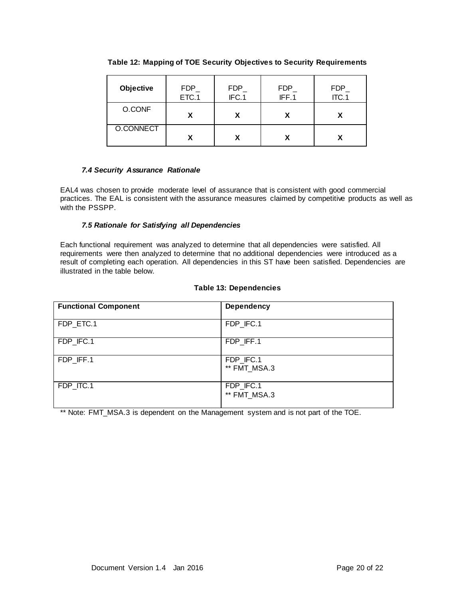| Objective | FDP<br>ETC.1 | FDP<br>IFC.1 | <b>FDP</b><br>IFF.1 | FDP_<br>ITC.1 |
|-----------|--------------|--------------|---------------------|---------------|
| O.CONF    |              |              |                     |               |
| O.CONNECT |              |              |                     |               |

**Table 12: Mapping of TOE Security Objectives to Security Requirements**

## *7.4 Security Assurance Rationale*

EAL4 was chosen to provide moderate level of assurance that is consistent with good commercial practices. The EAL is consistent with the assurance measures claimed by competitive products as well as with the PSSPP.

#### *7.5 Rationale for Satisfying all Dependencies*

Each functional requirement was analyzed to determine that all dependencies were satisfied. All requirements were then analyzed to determine that no additional dependencies were introduced as a result of completing each operation. All dependencies in this ST have been satisfied. Dependencies are illustrated in the table below.

#### **Table 13: Dependencies**

| <b>Functional Component</b> | <b>Dependency</b>         |
|-----------------------------|---------------------------|
| FDP_ETC.1                   | FDP_IFC.1                 |
| FDP_IFC.1                   | FDP_IFF.1                 |
| FDP_IFF.1                   | FDP_IFC.1<br>** FMT MSA.3 |
| FDP ITC.1                   | FDP_IFC.1<br>** FMT_MSA.3 |

\*\* Note: FMT\_MSA.3 is dependent on the Management system and is not part of the TOE.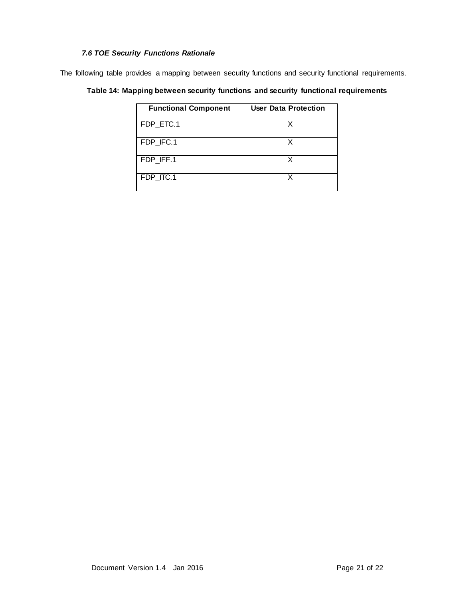## *7.6 TOE Security Functions Rationale*

The following table provides a mapping between security functions and security functional requirements.

| Table 14: Mapping between security functions  and security  functional requirements |  |  |  |  |
|-------------------------------------------------------------------------------------|--|--|--|--|
|-------------------------------------------------------------------------------------|--|--|--|--|

| <b>Functional Component</b> | User Data Protection |
|-----------------------------|----------------------|
| FDP ETC.1                   |                      |
| FDP_IFC.1                   |                      |
| FDP IFF.1                   |                      |
| FDP ITC.1                   |                      |